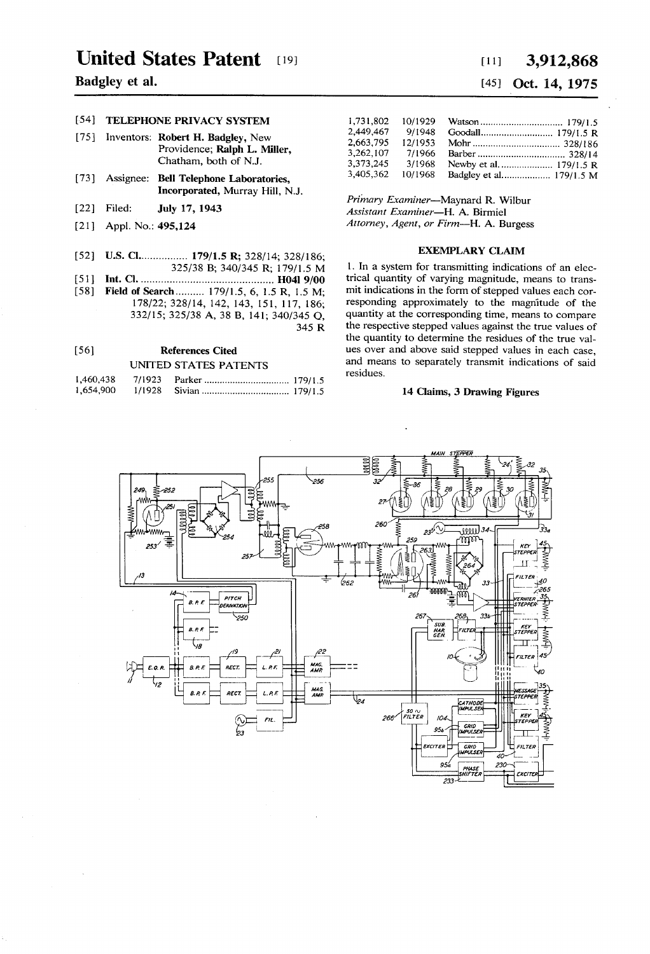# United States Patent [19]

### Badgley et a1.

### [541 TELEPHONE PRIVACY SYSTEM

- [75] Inventors: Robert H. Badgley, New Providence; Ralph L. Miller, Chatham, both of NJ.
- [73] Assignee: Bell Telephone Laboratories, Incorporated, Murray Hill, NJ.
- [22] Filed: July 17, 1943
- [21] Appl. No.: 495,124
- [52] U.S. Cl................. 179/1.5 R; 328/14; 328/186;
- 325/38 B; 340/345 R; 179/].5 M [51] Int. Cl. ............................................ .. H041 9/00
- [58] Field of Search .......... 179/1.5, 6, 1.5 R, 1.5 M; 178/22; 328/14, 142, 143, 151,117,186; 332/15; 325/38 A, 38 B, 141; 340/345 Q, 345 R

### [56] References Cited UNITED STATES PATENTS

### 1,460,438 7/1923 Parker ............................... .. 179/15

| 1,654,900 |  |
|-----------|--|

## [11] 3,912,868 [45] Oct. 14, 1975

| 1.731.802 | 10/1929 |                         |
|-----------|---------|-------------------------|
| 2.449.467 | 9/1948  |                         |
| 2.663.795 | 12/1953 |                         |
| 3.262.107 | 7/1966  |                         |
| 3.373.245 | 3/1968  |                         |
| 3,405,362 | 10/1968 | Badgley et al 179/1.5 M |

Primary Examiner-Maynard R. Wilbur Assistant Examiner-H. A. Birmiel Attorney, Agent, or Firm-H. A. Burgess

#### EXEMPLARY CLAIM

1. In a system for transmitting indications of an electrical quantity of varying magnitude, means to trans mit indications in the form of stepped values each cor responding approximately to the magnitude of the quantity at the corresponding time, means to compare the respective stepped values against the true values of the quantity to determine the residues of the true val ues over and above said stepped values in each case, and means to separately transmit indications of said residues.

#### 14 Claims, 3 Drawing Figures

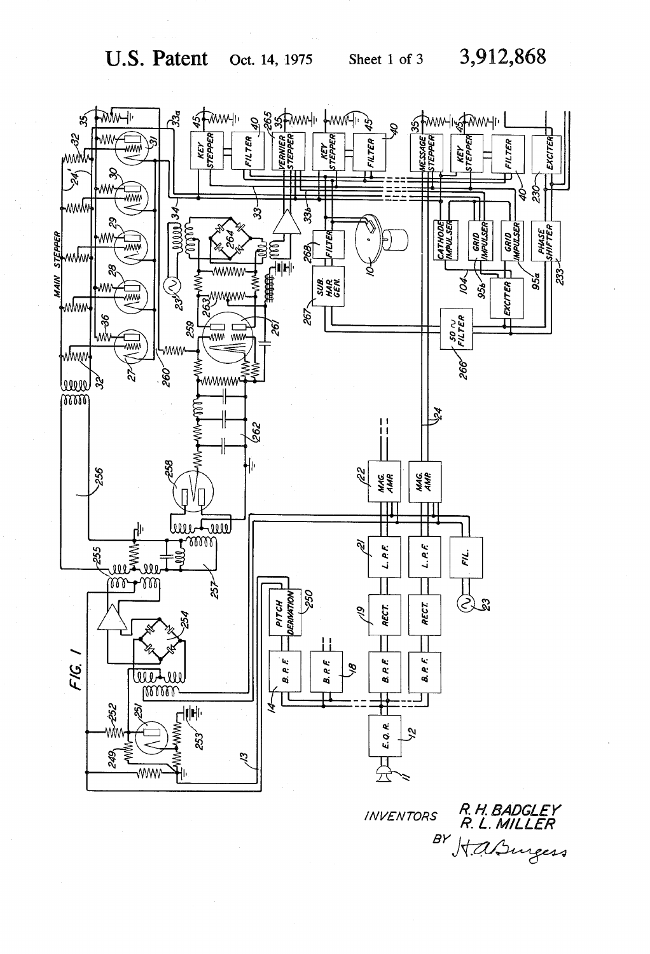

**INVENTORS** 

R. H. BADGLEY<br>R. L. MILLER BY Kasugers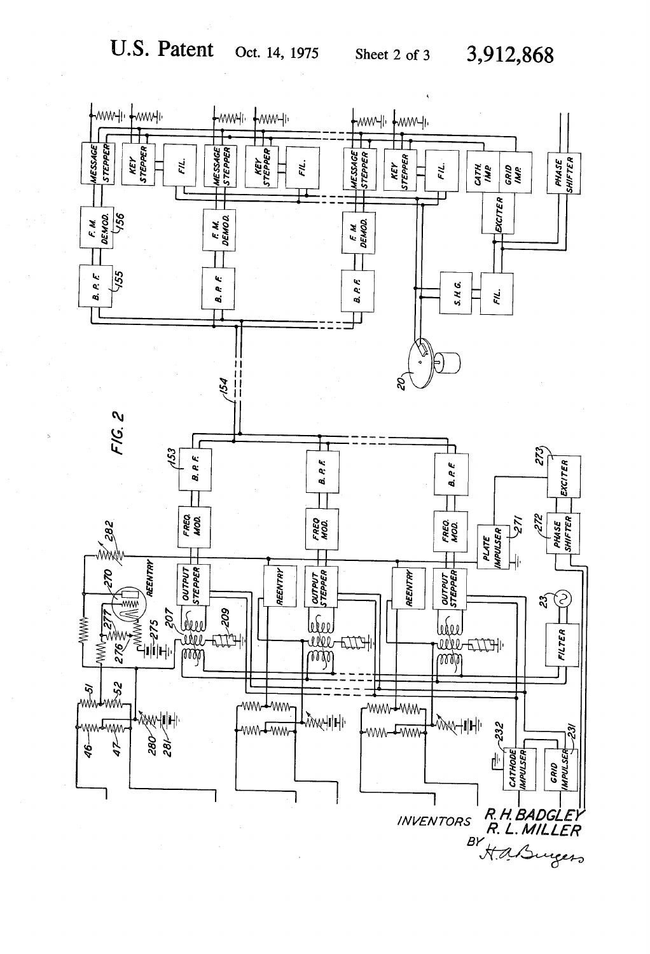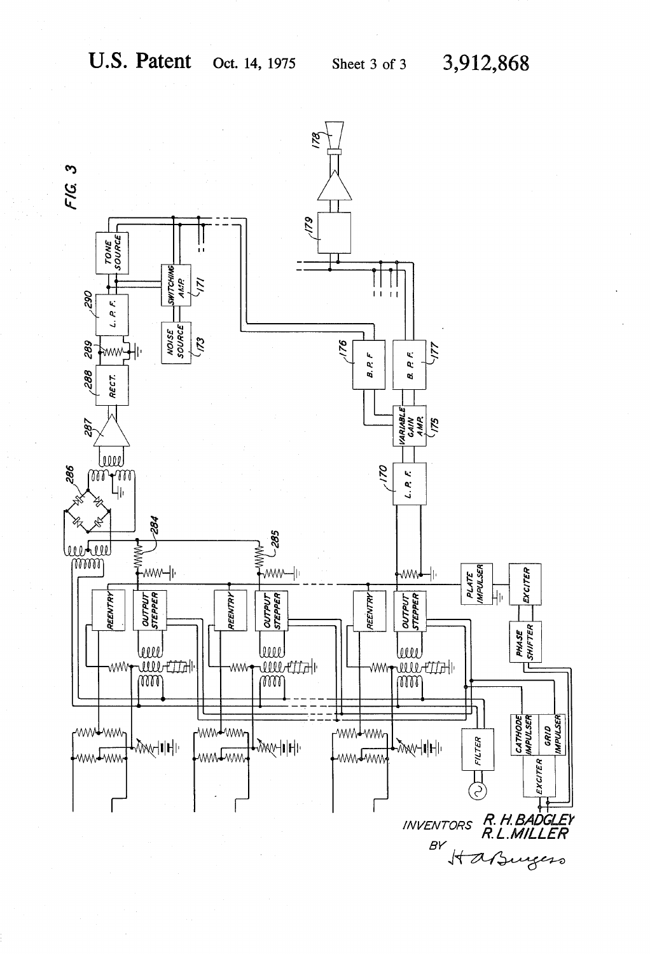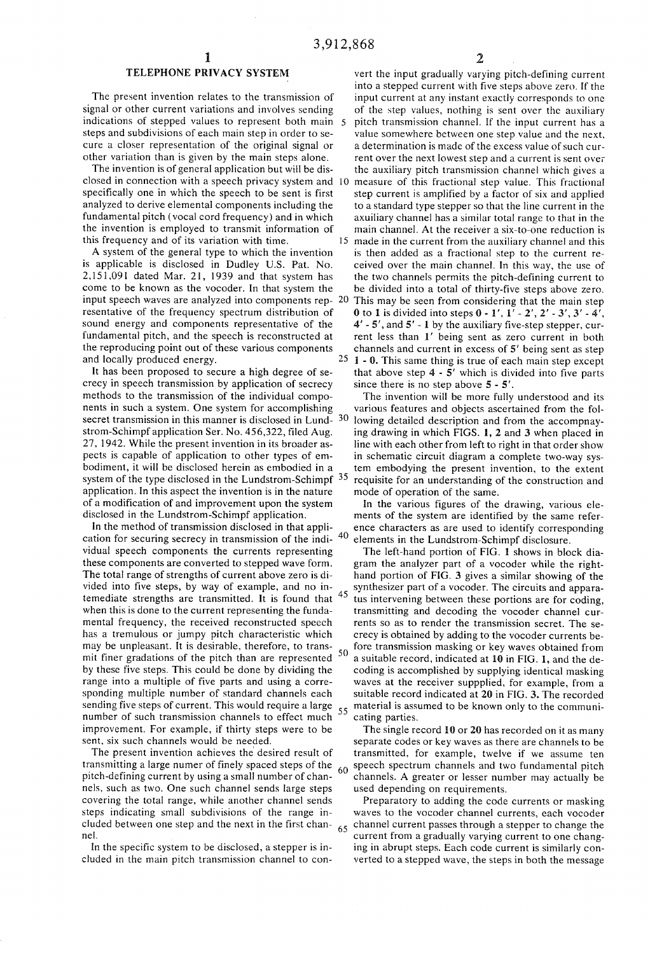### TELEPHONE PRIVACY SYSTEM

The present invention relates to the transmission of signal or other current variations and involves sending indications of stepped values to represent both main 5 steps and subdivisions of each main step in order to se cure a closer representation of the original signal or other variation than is given by the main steps alone.

The invention is of general application but will be dis closed in connection with a speech privacy system and specifically one in which the speech to be sent is first analyzed to derive elemental components including the fundamental pitch (vocal cord frequency) and in which the invention is employed to transmit information of this frequency and of its variation with time.

A system of the general type to which the invention is applicable is disclosed in Dudley U.S. Pat. No. 2,151,091 dated Mar. 21, 1939 and that system has come to be known as the vocoder. In that system the input speech waves are analyzed into components rep-  $20$ resentative of the frequency spectrum distribution of sound energy and components representative of the fundamental pitch, and the speech is reconstructed at the reproducing point out of these various components and locally produced energy.

It has been proposed to secure a high degree of se crecy in speech transmission by application of secrecy methods to the transmission of the individual compo nents in such a system. One system for accomplishing secret transmission in this manner is disclosed in Lund- 30 strom-Schimpf application Ser. No. 456,322, filed Aug. 27, 1942. While the present invention in its broader as pects is capable of application to other types of em bodiment, it will be disclosed herein as embodied in a system of the type disclosed in the Lundstrom-Schimpf <sup>35</sup> application. In this aspect the invention is in the nature ofa modification of and improvement upon the system disclosed in the Lundstrom-Schimpf application.

In the method of transmission disclosed in that appli cation for securing secrecy in transmission of the individual speech components the currents representing these components are converted to stepped wave form. The total range of strengths of current above zero is divided into five steps, by way of example, and no in temediate strengths are transmitted. It is found that  $45$ when this is done to the current representing the funda mental frequency, the received reconstructed speech has a tremulous or jumpy pitch characteristic which may be unpleasant. It is desirable, therefore, to trans mit finer gradations of the pitch than are represented 50 by these five steps. This could be done by dividing the range into a multiple of five parts and using a corre sponding multiple number of standard channels each sending five steps of current. This would require a large number of such transmission channels to effect much improvement. For example, if thirty steps were to be sent, six such channels would be needed.

The present invention achieves the desired result of transmitting a large numer of finely spaced steps of the 60 pitch~defining current by using a small number of chan nels. such as two. One such channel sends large steps covering the total range, while another channel sends steps indicating small subdivisions of the range in cluded between one step and the next in the first chan nel.

In the specific system to be disclosed, a stepper is included in the main pitch transmission channel to con

vert the input gradually varying pitch-defining current into a stepped current with five steps above zero. If the input current at any instant exactly corresponds to one of the step values, nothing is sent over the auxiliary pitch transmission channel. If the input current has a value somewhere between one step value and the next. a determination is made of the excess value of such cur rent over the next lowest step and a current is sent over the auxiliary pitch transmission channel which gives a measure of this fractional step value. This fractional step current is amplified by a factor of six and applied to a standard type stepper so that the line current in the axuiliary channel has a similar total range to that in the main channel. At the receiver a six-to-one reduction is 15 made in the current from the auxiliary channel and this is then added as a fractional step to the current re ceived over the main channel. In this way, the use of the two channels permits the pitch—defining current to be divided into a total of thirty-five steps above zero. This may be seen from considering that the main step 0 to 1 is divided into steps  $0 - 1'$ ,  $1' - 2'$ ,  $2' - 3'$ ,  $3' - 4'$ , 4' - 5', and 5' - l by the auxiliary five-step stepper, cur rent less than 1' being sent as zero current in both channels and current in excess of 5' being sent as step  $25$  1 - 0. This same thing is true of each main step except that above step  $4 - 5'$  which is divided into five parts since there is no step above 5 - 5'.

The invention will be more fully understood and its various features and objects ascertained from the fol lowing detailed description and from the accompnay ing drawing in which FIGS. 1, 2 and 3 when placed in line with each other from left to right in that order show in schematic circuit diagram a complete two-way sys tem embodying the present invention, to the extent requisite for an understanding of the construction and mode of operation of the same.

In the various figures of the drawing, various ele ments of the system are identified by the same refer ence characters as are used to identify corresponding elements in the Lundstrom-Schimpf disclosure.

55 The left-hand portion of FIG. 1 shows in block dia gram the analyzer part of a vocoder while the right hand portion of FIG. 3 gives a similar showing of the synthesizer part of a vocoder. The circuits and appara tus intervening between these portions are for coding, transmitting and decoding the vocoder channel cur rents so as to render the transmission secret. The se crecy is obtained by adding to the vocoder currents be fore transmission masking or key waves obtained from a suitable record, indicated at 10 in FIG. 1, and the decoding is accomplished by supplying identical masking waves at the receiver suppplied, for example, from a suitable record indicated at 20 in FIG. 3. The recorded material is assumed to be known only to the communi cating parties.

The single record 10 or 20 has recorded on it as many separate codes or key waves as there are channels to be transmitted, for example, twelve if we assume ten speech spectrum channels and two fundamental pitch channels. A greater or lesser number may actually be used depending on requirements.

65 Preparatory to adding the code currents or masking waves to the vocoder channel currents, each vocoder channel current passes through a stepper to change the current from a gradually varying current to one chang ing in abrupt steps. Each code current is similarly con verted to a stepped wave, the steps in both the message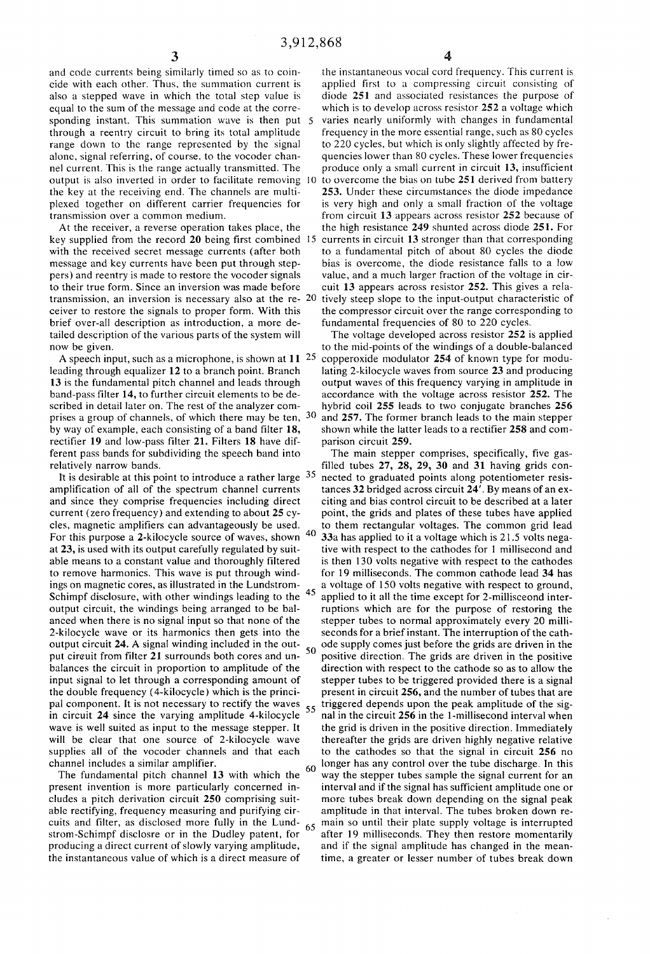and code currents being similarly timed so as to coin cide with each other. Thus, the summation current is also a stepped wave in which the total step value is equal to the sum of the message and code at the corre sponding instant. This summation wave is then put 5 through a reentry circuit to bring its total amplitude range down to the range represented by the signal alone, signal referring, of course, to the vocoder chan nel current. This is the range actually transmitted. The the key at the receiving end. The channels are multi plexed together on different carrier frequencies for transmission over a common medium.

At the receiver, a reverse operation takes place, the key supplied from the record 20 being first combined 15 with the received secret message currents (after both message and key currents have been put through step pers) and reentry is made to restore the vocoder signals to their true form. Since an inversion was made before transmission, an inversion is necessary also at the re- 20 ceiver to restore the signals to proper form. With this brief over-all description as introduction, a more de tailed description of the various parts of the system will now be given.

A speech input, such as a microphone, is shown at  $11^{-25}$ leading through equalizer 12 to a branch point. Branch 13 is the fundamental pitch channel and leads through band-pass filter 14, to further circuit elements to be de scribed in detail later on. The rest of the analyzer com prises a group of channels, of which there may be ten, 30 by way of example, each consisting of a band filter 18, rectifier 19 and low-pass filter 21. Filters 18 have dif ferent pass bands for subdividing the speech band into relatively narrow bands.

amplification of all of the spectrum channel currents and since they comprise frequencies including direct current (zero frequency) and extending to about 25 cy cles, magnetic amplifiers can advantageously be used. For this purpose a 2-kilocycle source of waves, shown <sup>40</sup> at 23, is used with its output carefully regulated by suit able means to a constant value and thoroughly filtered to remove harmonics. This wave is put through wind ings on magnetic cores, as illustrated in the Lundstrom~ Schimpf disclosure, with other windings leading to the  $45$ output circuit, the windings being arranged to be bal anced when there is no signal input so that none of the 2-kilocycle wave or its harmonics then gets into the output circuit 24. A signal winding included in the out put circuit from filter 21 surrounds both cores and unbalances the circuit in proportion to amplitude of the input signal to let through a corresponding amount of the double frequency (4-kilocycle) which is the princi pal component. It is not necessary to rectify the waves 55 in circuit 24 since the varying amplitude 4~kilocycle wave is well suited as input to the message stepper. It will be clear that one source of 2-kilocycle wave supplies all of the vocoder channels and that each channel includes a similar amplifier,

The fundamental pitch channel 13 with which the present invention is more particularly concerned in cludes a pitch derivation circuit 250 comprising suit able rectifying, frequency measuring and purifying cir cuits and filter, as disclosed more fully in the Lundstrom-Schimpf disclosre or in the Dudley patent, for producing a direct current of slowly varying amplitude, the instantaneous value of which is a direct measure of

output is also inverted in order to facilitate removing 10 to overcome the bias on tube 251 derived from battery the instantaneous vocal cord frequency. This current is applied first to a compressing circuit consisting of diode 25l and associated resistances the purpose of which is to develop across resistor 252 a voltage which varies nearly uniformly with changes in fundamental frequency in the more essential range, such as 80 cycles to 220 cycles, but which is only slightly affected by fre quencies lower than 80 cycles. These lower frequencies produce only a small current in circuit 13, insufficient 253. Under these circumstances the diode impedance is very high and only a small fraction of the voltage from circuit 13 appears across resistor 252 because of the high resistance 249 shunted across diode 251. For currents in circuit 13 stronger than that corresponding to a fundamental pitch of about 80 cycles the diode bias is overcome, the diode resistance falls to a low value, and a much larger fraction of the voltage in cir cuit 13 appears across resistor 252. This gives a rela tively steep slope to the input-output characteristic of the compressor circuit over the range corresponding to fundamental frequencies of 80 to 220 cycles.

The voltage developed across resistor 252 is applied to the mid-points of the windings of a double-balanced copperoxide modulator 254 of known type for modu lating 2-kilocycle waves from source 23 and producing output waves of this frequency varying in amplitude in accordance with the voltage across resistor 252. The hybrid coil 255 leads to two conjugate branches 256 and 257. The former branch leads to the main stepper shown while the latter leads to a rectifier 258 and com parison circuit 259.

The main stepper comprises, specifically, five gas filled tubes 27, 28, 29, 30 and 31 having grids con It is desirable at this point to introduce a rather large <sup>35</sup> nected to graduated points along potentiometer resistances 32 bridged across circuit 24'. By means of an ex citing and bias control circuit to be described at a later point, the grids and plates of these tubes have applied to them rectangular voltages. The common grid lead 33a has applied to it a voltage which is 21.5 volts nega tive with respect to the cathodes for l millisecond and is then 130 volts negative with respect to the cathodes for 19 milliseconds. The common cathode lead 34 has a voltage of 150 volts negative with respect to ground, applied to it all the time except for 2-millisceond inter ruptions which are for the purpose of restoring the stepper tubes to normal approximately every 20 milli seconds for a brief instant. The interruption of the cath ode supply comes just before the grids are driven in the positive direction. The grids are driven in the positive direction with respect to the cathode so as to allow the stepper tubes to be triggered provided there is a signal present in circuit 256, and the number of tubes that are triggered depends upon the peak amplitude of the sig nal in the circuit 256 in the l-millisecond interval when the grid is driven in the positive direction. Immediately thereafter the grids are driven highly negative relative to the cathodes so that the signal in circuit 256 no longer has any control over the tube discharge. In this 60 way the stepper tubes sample the signal current for an interval and if the signal has sufficient amplitude one or more tubes break down depending on the signal peak amplitude in that interval. The tubes broken down re main so until their plate supply voltage is interrupted after 19 milliseconds, They then restore momentarily and if the signal amplitude has changed in the mean time, a greater or lesser number of tubes break down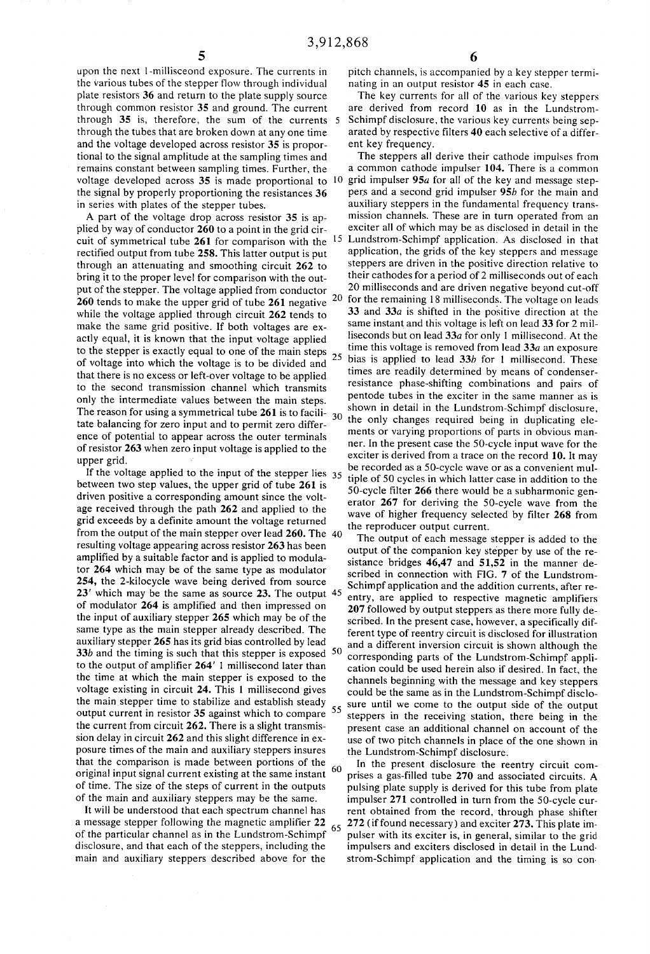upon the next l-millisceond exposure. The currents in the various tubes of the stepper flow through individual plate resistors 36 and return to the plate supply source through common resistor 35 and ground. The current through 35 is, therefore, the sum of the currents through the tubes that are broken down at any one time and the voltage developed across resistor 35 is propor tional to the signal amplitude at the sampling times and remains constant between sampling times. Further, the the signal by properly proportioning the resistances 36 in series with plates of the stepper tubes.

A part of the voltage drop across resistor 35 is ap plied by way of conductor 260 to a point in the grid cir rectified output from tube 258. This latter output is put through an attenuating and smoothing circuit 262 to bring it to the proper level for comparison with the out put of the stepper. The voltage applied from conductor 20<br>260 tands to make the unner grid of tube 261 negative 20 260 tends to make the upper grid of tube 261 negative while the voltage applied through circuit 262 tends to make the same grid positive. If both voltages are ex actly equal, it is known that the input voltage applied to the stepper is exactly equal to one of the main steps  $25$ of voltage into which the voltage is to be divided and that there is no excess or left-over voltage to be applied to the second transmission channel which transmits only the intermediate values between the main steps. The reason for using a symmetrical tube 261 is to facili tate balancing for zero input and to permit zero differ ence of potential to appear across the outer terminals of resistor 263 when zero input voltage is applied to the upper grid. \*

If the voltage applied to the input of the stepper lies 35 between two step values, the upper grid of tube 261 is driven positive a corresponding amount since the volt age received through the path 262 and applied to the grid exceeds by a definite amount the voltage returned from the output of the main stepper over lead 260. The resulting voltage appearing across resistor 263 has been amplified by a suitable factor and is applied to modula tor 264 which may be of the same type as modulator 254, the 2-kilocycle wave being derived from source 23' which may be the same as source 23. The output 45 of modulator 264 is amplified and then impressed on the input of auxiliary stepper 265 which may be of the same type as the main stepper already described. The auxiliary stepper 265 has its grid bias controlled by lead 33b and the timing is such that this stepper is exposed  $50$ to the output of amplifier  $264'$  1 millisecond later than the time at which the main stepper is exposed to the voltage existing in circuit 24. This 1 millisecond gives the main stepper time to stabilize and establish steady output current in resistor 35 against which to compare <sup>55</sup> the current from circuit 262. There is a slight transmis sion delay in circuit 262 and this slight difference in ex posure times of the main and auxiliary steppers insures that the comparison is made between portions of the original input signal current existing at the same instant  $\ ^{60}$ of time. The size of the steps of current in the outputs of the main and auxiliary steppers may be the same.

It will be understood that each spectrum channel has a message stepper following the magnetic amplifier 22 65 of the particular channel as in the Lundstrom-Schimpf disclosure, and that each of the steppers, including the main and auxiliary steppers described above for the

pitch channels, is accompanied by a key stepper termi nating in an output resistor 45 in each case.

The key currents for all of the various key steppers are derived from record 10 as in the Lundstrom Schimpf disclosure, the various key currents being sep arated by respective filters 40 each selective of a differ ent key frequency.

The steppers all derive their cathode impulses from a common cathode impulser 104. There is a common voltage developed across 35 is made proportional to  $10$  grid impulser 95*a* for all of the key and message steppers and a second grid impulser 95b for the main and auxiliary steppers in the fundamental frequency trans mission channels. These are in turn operated from an exciter all of which may be as disclosed in detail in the cuit of symmetrical tube 261 for comparison with the <sup>15</sup> Lundstrom-Schimpf application. As disclosed in that application, the grids of the key steppers and message steppers are driven in the positive direction relative to their cathodes for a period of2 milliseconds out of each 20 milliseconds and are driven negative beyond cut-off for the remaining 18 milliseconds. The voltage on leads 33 and 33a is shifted in the positive direction at the same instant and this voltage is left on lead 33 for 2 mil liseconds but on lead 33a for only 1 millisecond. At the time this voltage is removed from lead  $33a$  an exposure bias is applied to lead  $33b$  for 1 millisecond. These times are readily determined by means of condenser~ resistance phase~shifting combinations and pairs of pentode tubes in the exciter in the same manner as is shown in detail in the Lundstrom-Schimpf disclosure, 30 the only changes required being in duplicating ele ments or varying proportions of parts in obvious man ner. In the present case the SO-cycle input wave for the exciter is derived from a trace on the record 10. It may be recorded as a 50-cycle wave or as a convenient mul tiple of 50 cycles in which latter case in addition to the 50-cycle filter  $266$  there would be a subharmonic generator 267 for deriving the SO-cycle wave from the wave of higher frequency selected by filter 268 from the reproducer output current.

The output of each message stepper is added to the output of the companion key stepper by use of the re sistance bridges 46,47 and 51,52 in the manner de scribed in connection with FIG. 7 of the Lundstrom Schimpf application and the addition currents, after re entry, are applied to respective magnetic amplifiers 207 followed by output steppers as there more fully de scribed. In the present case, however, a specifically dif ferent type of reentry circuit is disclosed for illustration and a different inversion circuit is shown although the corresponding parts of the Lundstrom-Schimpf appli cation could be used herein also if desired. In fact, the channels beginning with the message and key steppers could be the same as in the Lundstrom-Schimpf disclo sure until we come to the output side of the output steppers in the receiving station, there being in the present case an additional channel on account of the use of two pitch channels in place of the one shown in the Lundstrom-Schimpf disclosure.

In the present disclosure the reentry circuit com prises a gas-filled tube 270 and associated circuits. A pulsing plate supply is derived for this tube from plate impulser 271 controlled in turn from the 50-cycle cur rent obtained from the record, through phase shifter 272 (if found necessary) and exciter 273. This plate im pulser with its exciter is, in general, similar to the grid impulsers and exciters disclosed in detail in the Lund strom-Schimpf application and the timing is so con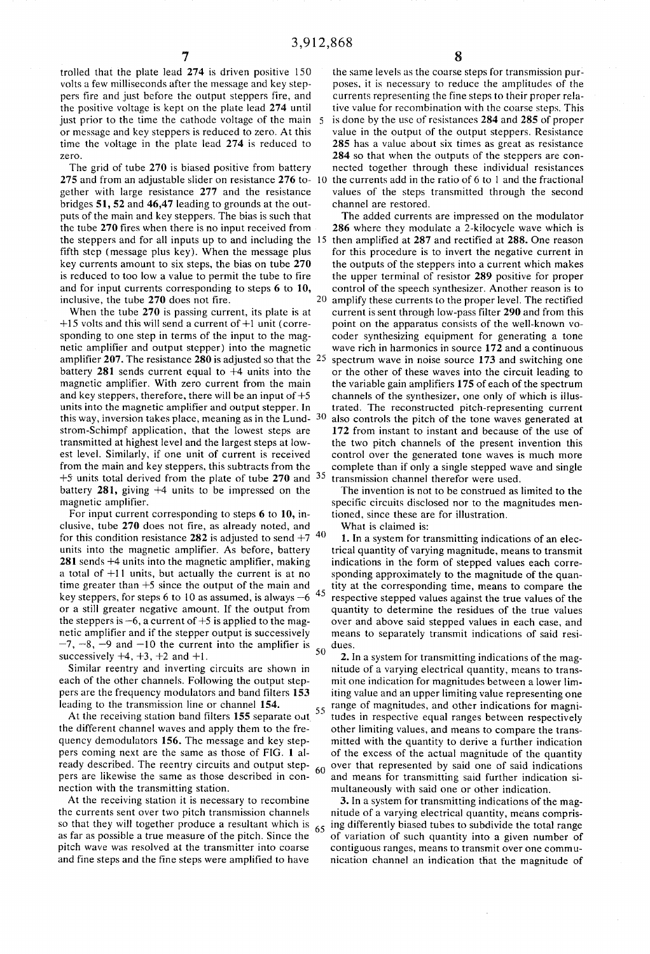trolled that the plate lead 274 is driven positive 150 volts a few milliseconds after the message and key step pers tire and just before the output steppers fire, and the positive voltage is kept on the plate lead 274 until just prior to the time the cathode voltage of the main 5 or message and key steppers is reduced to zero. At this time the voltage in the plate lead 274 is reduced to zero.

The grid of tube 270 is biased positive from battery gether with large resistance 277 and the resistance bridges 51, 52 and 46,47 leading to grounds at the out puts of the main and key steppers. The bias is such that the tube 270 fires when there is no input received from fifth step (message plus key). When the message plus key currents amount to six steps, the bias on tube 270 is reduced to too low a value to permit the tube to fire and for input currents corresponding to steps 6 to 10, inclusive, the tube 270 does not fire.

When the tube 270 is passing current, its plate is at  $+15$  volts and this will send a current of  $+1$  unit (corresponding to one step in terms of the input to the mag netic amplifier and output stepper) into the magnetic amplifier 207. The resistance 280 is adjusted so that the  $25$ battery 281 sends current equal to  $+4$  units into the magnetic amplifier. With zero current from the main and key steppers, therefore, there will be an input of  $+5$ units into the magnetic amplifier and output stepper. In this way, inversion takes place, meaning as in the Lund strom-Schimpf application, that the lowest steps are transmitted at highest level and the largest steps at low~ est level. Similarly, if one unit of current is received from the main and key steppers. this subtracts from the  $+5$  units total derived from the plate of tube 270 and  $35$ battery 281, giving +4 units to be impressed on the magnetic amplifier.

For input current corresponding to steps 6 to 10, in clusive, tube 270 does not fire, as already noted, and for this condition resistance 282 is adjusted to send  $+7^{-40}$ units into the magnetic amplifier. As before, battery  $281$  sends  $+4$  units into the magnetic amplifier, making a total of +11 units, but actually the current is at no time greater than  $+5$  since the output of the main and 45 key steppers, for steps 6 to 10 as assumed, is always  $-6$ or a still greater negative amount. If the output from the steppers is  $-6$ , a current of  $+5$  is applied to the magnetic amplifier and if the stepper output is successively  $-7, -8, -9$  and  $-10$  the current into the amplifier is  $50$ successively  $+4$ ,  $+3$ ,  $+2$  and  $+1$ .

Similar reentry and inverting circuits are shown in each of the other channels. Following the output step pers are the frequency modulators and band filters 153 leading to the transmission line or channel 154.

At the receiving station band filters  $155$  separate out  $55$ the different channel waves and apply them to the fre quency demodulators 156. The message and key step pers coming next are the same as those of FIG. 1 al ready described. The reentry circuits and output step 60 pers are likewise the same as those described in con nection with the transmitting station.

At the receiving station it is necessary to recombine the currents sent over two pitch transmission channels so that they will together produce a resultant which is as far as possible a true measure of the pitch. Since the pitch wave was resolved at the transmitter into coarse and fine steps and the fine steps were amplified to have 65

275 and from an adjustable slider on resistance 276 to-10 the currents add in the ratio of 6 to 1 and the fractional the same levels as the coarse steps for transmission pur poses. it is necessary to reduce the amplitudes of the currents representing the fine steps to their proper rela tive value for recombination with the coarse steps. This is done by the use of resistances 284 and 285 of proper value in the output of the output steppers. Resistance 285 has a value about six times as great as resistance 284 so that when the outputs of the steppers are con nected together through these individual resistances values of the steps transmitted through the second channel are restored.

the steppers and for all inputs up to and including the  $15$  then amplified at 287 and rectified at 288. One reason 20 The added currents are impressed on the modulator 286 where they modulate a 2-kilocycle wave which is for this procedure is to invert the negative current in the outputs of the steppers into a current which makes the upper terminal of resistor 289 positive for proper control of the speech synthesizer. Another reason is to amplify these currents to the proper level. The rectified current is sent through low-pass filter 290 and from this point on the apparatus consists of the well-known vo coder synthesizing equipment for generating a tone wave rich in harmonics in source 172 and a continuous spectrum wave in noise source 173 and switching one or the other of these waves into the circuit leading to the variable gain amplifiers 175 of each of the spectrum channels of the synthesizer, one only of which is illus trated. The reconstructed pitch-representing current also controls the pitch of the tone waves generated at 172 from instant to instant and because of the use of the two pitch channels of the present invention this control over the generated tone waves is much more complete than if only a single stepped wave and single transmission channel therefor were used.

> The invention is not to be construed as limited to the specific circuits disclosed nor to the magnitudes mentioned, since these are for illustration.

What is claimed is:

1. In a system for transmitting indications of an elec trical quantity of varying magnitude, means to transmit indications in the form of stepped values each corre sponding approximately to the magnitude of the quan tity at the corresponding time, means to compare the respective stepped values against the true values of the quantity to determine the residues of the true values over and above said stepped values in each case, and means to separately transmit indications of said resi dues.

2. In a system for transmitting indications of the mag nitude of a varying electrical quantity, means to trans mit one indication for magnitudes between a lower lim iting value and an upper limiting value representing one range of magnitudes, and other indications for magni tudes in respective equal ranges between respectively other limiting values, and means to compare the trans mitted with the quantity to derive a further indication of the excess of the actual magnitude of the quantity over that represented by said one of said indications and means for transmitting said further indication si multaneously with said one or other indication.

3. In a system for transmitting indications of the mag nitude of a varying electrical quantity, means compris ing differently biased tubes to subdivide the total range of variation of such quantity into a given number of contiguous ranges, means to transmit over one comm u nication channel an indication that the magnitude of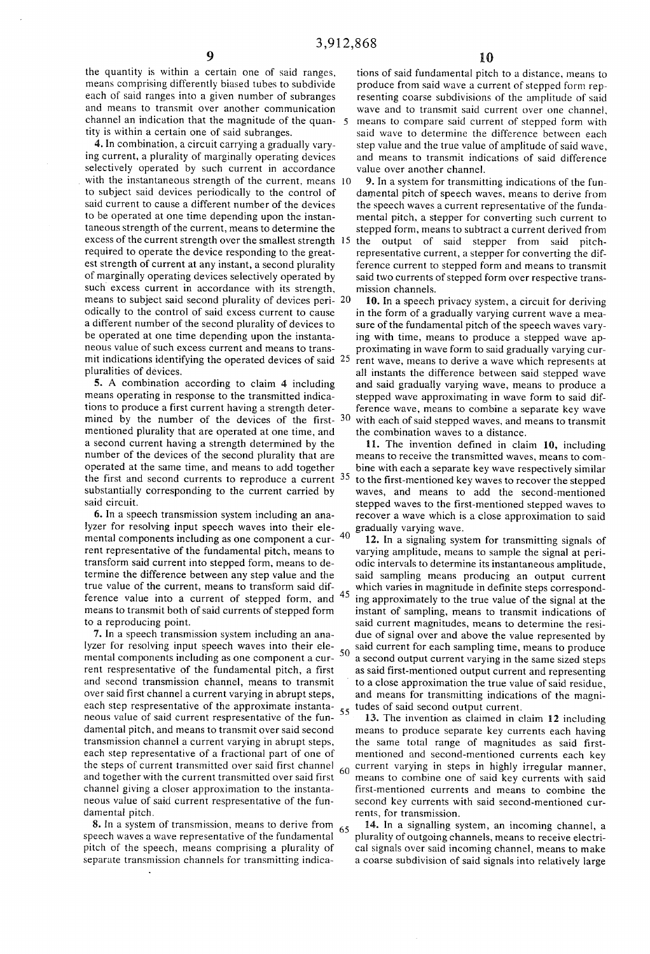the quantity is within a certain one of said ranges, means comprising differently biased tubes to subdivide each of said ranges into a given number of subranges and means to transmit over another communication channel an indication that the magnitude of the quan- 5 tity is within a certain one of said subranges.

4. In combination, a circuit carrying a gradually varying current, a plurality of marginally operating devices selectively operated by such current in accordance with the instantaneous strength of the current, means 10 to subject said devices periodically to the control of said current to cause a different number of the devices to be operated at one time depending upon the instantaneous strength of the current, means to determine the excess of the current strength over the smallest strength 15 the output of said stepper from said pitchrequired to operate the device responding to the greatest strength of current at any instant, a second plurality of marginally operating devices selectively operated by such excess current in accordance with its strength, means to subject said second plurality of devices peri- 20 odically to the control of said excess current to cause a different number of the second plurality of devices to be operated at one time depending upon the instantaneous value of such excess current and means to transmit indications identifying the operated devices of said 25 pluralities of devices.

5. A combination according to claim 4 including means operating in response to the transmitted indications to produce a first current having a strength determined by the number of the devices of the first- 30 mentioned plurality that are operated at one time, and a second current having a strength determined by the number of the devices of the second plurality that are operated at the same time, and means to add together the first and second currents to reproduce a current 35 substantially corresponding to the current carried by said circuit.

6. In a speech transmission system including an analyzer for resolving input speech waves into their elemental components including as one component a cur- 40 rent representative of the fundamental pitch, means to transform said current into stepped form, means to determine the difference between any step value and the true value of the current, means to transform said difference value into a current of stepped form, and 45 means to transmit both of said currents of stepped form to a reproducing point.

7. In a speech transmission system including an analyzer for resolving input speech waves into their elemental components including as one component a current respresentative of the fundamental pitch, a first and second transmission channel, means to transmit over said first channel a current varying in abrupt steps, each step respresentative of the approximate instantaneous value of said current respresentative of the fundamental pitch, and means to transmit over said second transmission channel a current varying in abrupt steps, each step representative of a fractional part of one of the steps of current transmitted over said first channel 60 and together with the current transmitted over said first channel giving a closer approximation to the instantaneous value of said current respresentative of the fundamental pitch.

8. In a system of transmission, means to derive from 65 speech waves a wave representative of the fundamental pitch of the speech, means comprising a plurality of separate transmission channels for transmitting indica-

tions of said fundamental pitch to a distance, means to produce from said wave a current of stepped form representing coarse subdivisions of the amplitude of said wave and to transmit said current over one channel, means to compare said current of stepped form with said wave to determine the difference between each step value and the true value of amplitude of said wave, and means to transmit indications of said difference value over another channel.

9. In a system for transmitting indications of the fundamental pitch of speech waves, means to derive from the speech waves a current representative of the fundamental pitch, a stepper for converting such current to stepped form, means to subtract a current derived from

representative current, a stepper for converting the difference current to stepped form and means to transmit said two currents of stepped form over respective transmission channels.

10. In a speech privacy system, a circuit for deriving in the form of a gradually varying current wave a measure of the fundamental pitch of the speech waves varying with time, means to produce a stepped wave approximating in wave form to said gradually varying current wave, means to derive a wave which represents at all instants the difference between said stepped wave and said gradually varying wave, means to produce a stepped wave approximating in wave form to said difference wave, means to combine a separate key wave with each of said stepped waves, and means to transmit the combination waves to a distance.

11. The invention defined in claim 10, including means to receive the transmitted waves, means to combine with each a separate key wave respectively similar to the first-mentioned key waves to recover the stepped waves, and means to add the second-mentioned stepped waves to the first-mentioned stepped waves to recover a wave which is a close approximation to said gradually varying wave.

12. In a signaling system for transmitting signals of varying amplitude, means to sample the signal at periodic intervals to determine its instantaneous amplitude, said sampling means producing an output current which varies in magnitude in definite steps corresponding approximately to the true value of the signal at the instant of sampling, means to transmit indications of said current magnitudes, means to determine the residue of signal over and above the value represented by said current for each sampling time, means to produce 50 a second output current varying in the same sized steps as said first-mentioned output current and representing to a close approximation the true value of said residue. and means for transmitting indications of the magnitudes of said second output current.

13. The invention as claimed in claim 12 including means to produce separate key currents each having the same total range of magnitudes as said firstmentioned and second-mentioned currents each key current varying in steps in highly irregular manner, means to combine one of said key currents with said first-mentioned currents and means to combine the second key currents with said second-mentioned currents, for transmission.

14. In a signalling system, an incoming channel, a plurality of outgoing channels, means to receive electrical signals over said incoming channel, means to make a coarse subdivision of said signals into relatively large